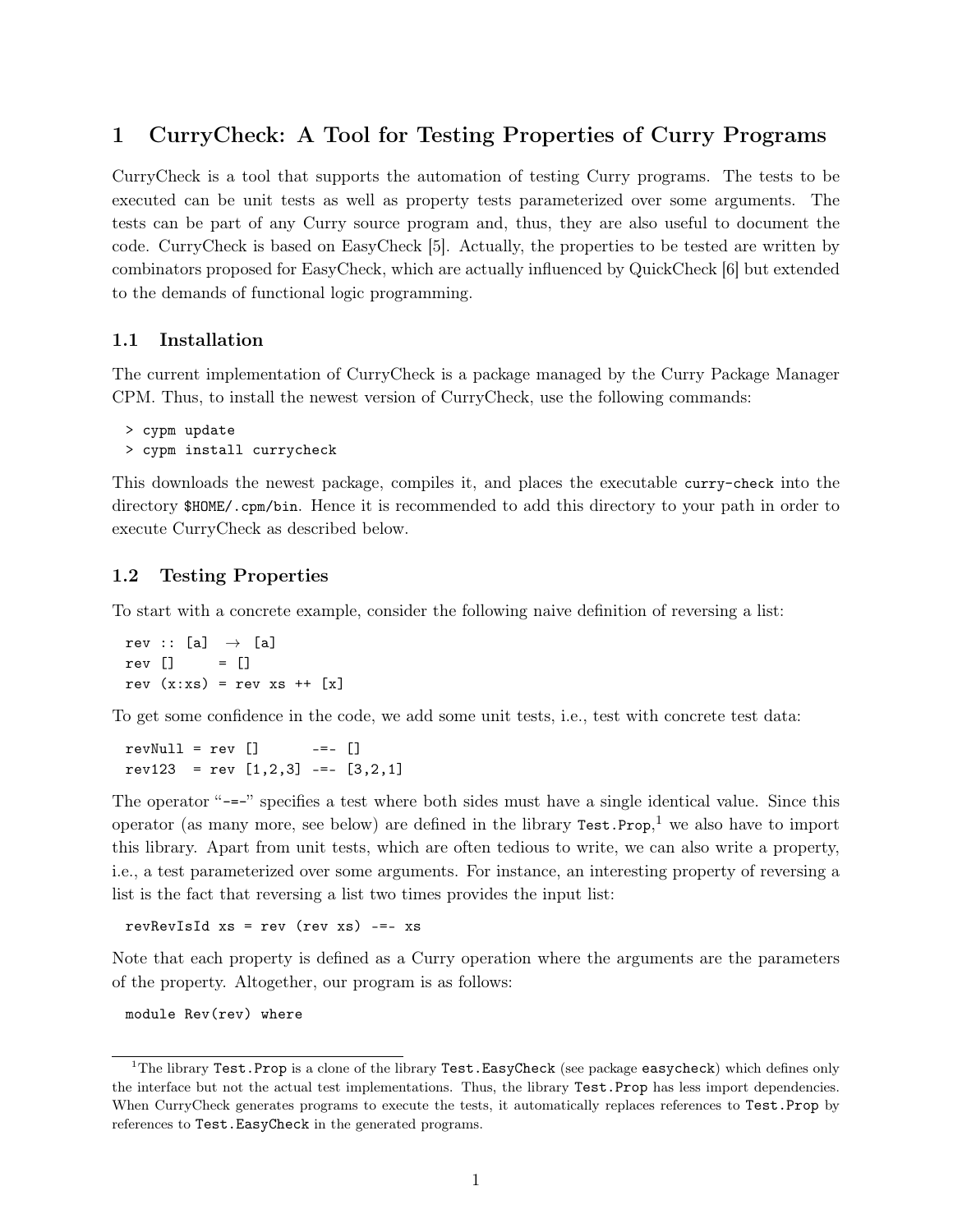# 1 CurryCheck: A Tool for Testing Properties of Curry Programs

CurryCheck is a tool that supports the automation of testing Curry programs. The tests to be executed can be unit tests as well as property tests parameterized over some arguments. The tests can be part of any Curry source program and, thus, they are also useful to document the code. CurryCheck is based on EasyCheck [5]. Actually, the properties to be tested are written by combinators proposed for EasyCheck, which are actually influenced by QuickCheck [6] but extended to the demands of functional logic programming.

#### 1.1 Installation

The current implementation of CurryCheck is a package managed by the Curry Package Manager CPM. Thus, to install the newest version of CurryCheck, use the following commands:

```
> cypm update
> cypm install currycheck
```
This downloads the newest package, compiles it, and places the executable curry-check into the directory \$HOME/.cpm/bin. Hence it is recommended to add this directory to your path in order to execute CurryCheck as described below.

#### 1.2 Testing Properties

To start with a concrete example, consider the following naive definition of reversing a list:

rev :: [a]  $\rightarrow$  [a] rev [] = [] rev  $(x:xs) = rev xs ++ [x]$ 

To get some confidence in the code, we add some unit tests, i.e., test with concrete test data:

 $revNull = rev$   $[]$   $-- []$  $rev123 = rev [1,2,3] \text{---} [3,2,1]$ 

The operator "-=-" specifies a test where both sides must have a single identical value. Since this operator (as many more, see below) are defined in the library  $Test.Prop<sup>1</sup>$  we also have to import this library. Apart from unit tests, which are often tedious to write, we can also write a property, i.e., a test parameterized over some arguments. For instance, an interesting property of reversing a list is the fact that reversing a list two times provides the input list:

revRevIsId  $xs = rev$  (rev  $xs$ ) -=-  $xs$ 

Note that each property is defined as a Curry operation where the arguments are the parameters of the property. Altogether, our program is as follows:

module Rev(rev) where

<sup>&</sup>lt;sup>1</sup>The library Test.Prop is a clone of the library Test.EasyCheck (see package easycheck) which defines only the interface but not the actual test implementations. Thus, the library Test.Prop has less import dependencies. When CurryCheck generates programs to execute the tests, it automatically replaces references to Test.Prop by references to Test.EasyCheck in the generated programs.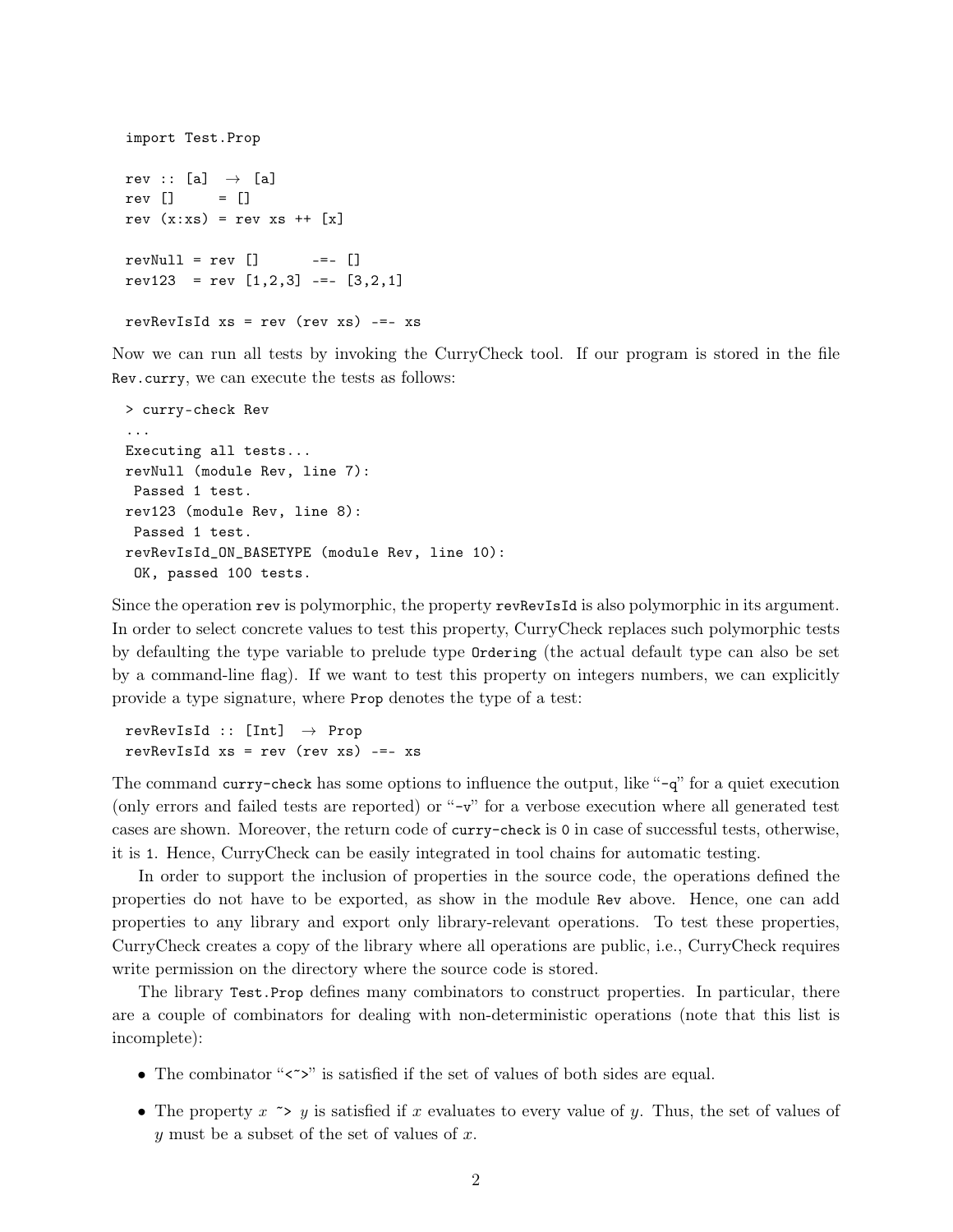```
import Test.Prop
rev :: [a] \rightarrow [a]
rev [] = []
rev (x:xs) = rev xs ++ [x]revNull = rev [] -=- []rev123 = rev [1,2,3] \text{---} [3,2,1]revRevIsId xs = rev (rev xs) -- xs
```
Now we can run all tests by invoking the CurryCheck tool. If our program is stored in the file Rev.curry, we can execute the tests as follows:

```
> curry-check Rev
...
Executing all tests...
revNull (module Rev, line 7):
 Passed 1 test.
rev123 (module Rev, line 8):
 Passed 1 test.
revRevIsId_ON_BASETYPE (module Rev, line 10):
 OK, passed 100 tests.
```
Since the operation rev is polymorphic, the property revRevIsId is also polymorphic in its argument. In order to select concrete values to test this property, CurryCheck replaces such polymorphic tests by defaulting the type variable to prelude type Ordering (the actual default type can also be set by a command-line flag). If we want to test this property on integers numbers, we can explicitly provide a type signature, where Prop denotes the type of a test:

 $revRevIsId :: [Int] \rightarrow Prop$  $revRevIsId xs = rev (rev xs) --- xs$ 

The command curry-check has some options to influence the output, like "-q" for a quiet execution (only errors and failed tests are reported) or "-v" for a verbose execution where all generated test cases are shown. Moreover, the return code of curry-check is 0 in case of successful tests, otherwise, it is 1. Hence, CurryCheck can be easily integrated in tool chains for automatic testing.

In order to support the inclusion of properties in the source code, the operations defined the properties do not have to be exported, as show in the module Rev above. Hence, one can add properties to any library and export only library-relevant operations. To test these properties, CurryCheck creates a copy of the library where all operations are public, i.e., CurryCheck requires write permission on the directory where the source code is stored.

The library Test.Prop defines many combinators to construct properties. In particular, there are a couple of combinators for dealing with non-deterministic operations (note that this list is incomplete):

- The combinator " $\langle \rangle$ " is satisfied if the set of values of both sides are equal.
- The property  $x \rightarrow y$  is satisfied if x evaluates to every value of y. Thus, the set of values of y must be a subset of the set of values of  $x$ .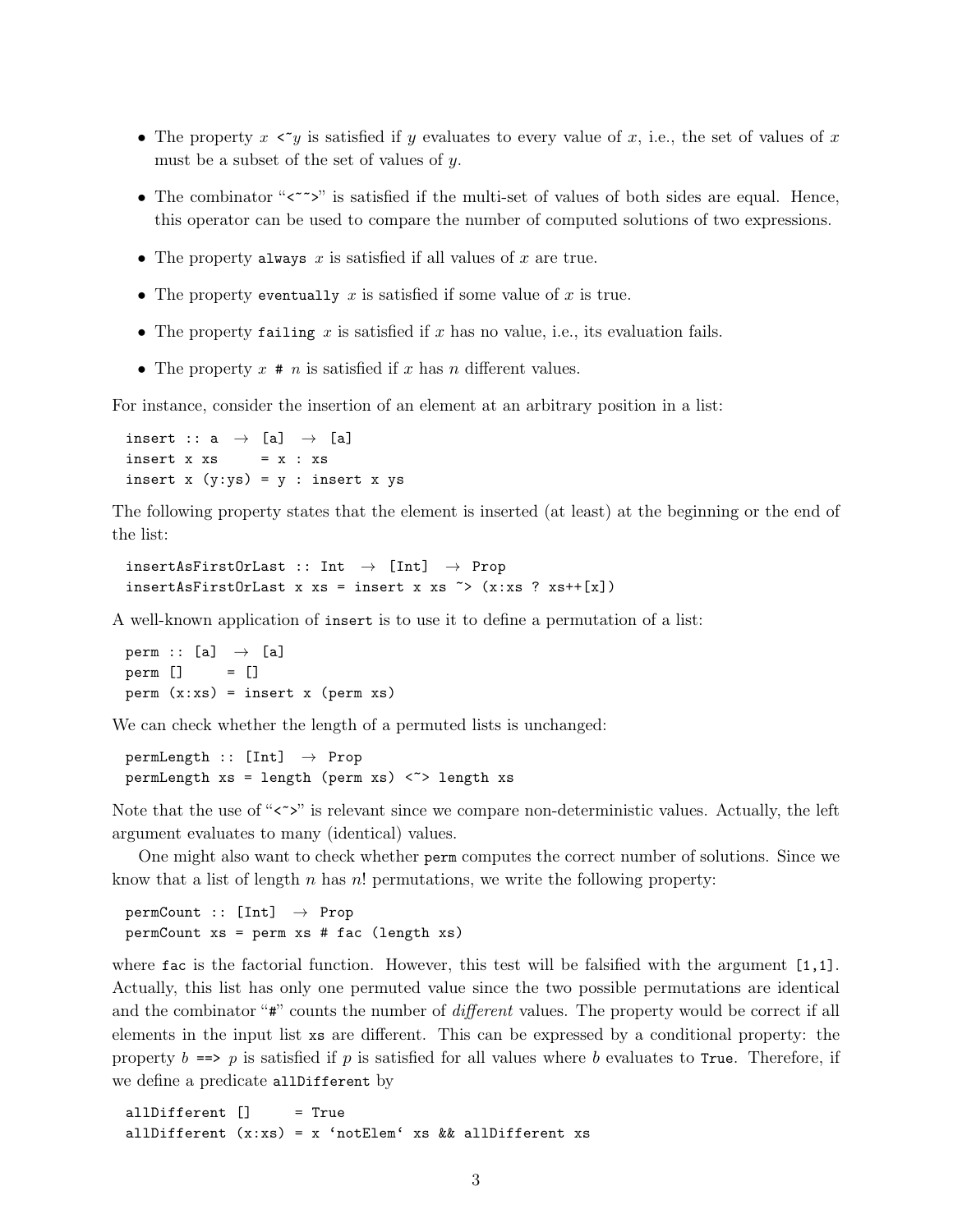- The property  $x \leq y$  is satisfied if y evaluates to every value of x, i.e., the set of values of x must be a subset of the set of values of y.
- The combinator " $\langle \cdot \rangle$ " is satisfied if the multi-set of values of both sides are equal. Hence, this operator can be used to compare the number of computed solutions of two expressions.
- The property always x is satisfied if all values of x are true.
- The property eventually x is satisfied if some value of x is true.
- The property failing x is satisfied if x has no value, i.e., its evaluation fails.
- The property  $x \neq n$  is satisfied if  $x$  has  $n$  different values.

For instance, consider the insertion of an element at an arbitrary position in a list:

insert :: a  $\rightarrow$  [a]  $\rightarrow$  [a] insert  $x$   $xs$  =  $x : xs$ insert  $x (y:ys) = y : insert x ys$ 

The following property states that the element is inserted (at least) at the beginning or the end of the list:

```
insertAsFirstOrLast :: Int \rightarrow [Int] \rightarrow Prop
insertAsFirstOrLast x xs = insert x xs \tilde{f} (x:xs ? xs++[x])
```
A well-known application of insert is to use it to define a permutation of a list:

perm :: [a]  $\rightarrow$  [a] perm  $\begin{bmatrix} 1 & 1 \end{bmatrix}$  $perm(x:xs) = insert x (perm xs)$ 

We can check whether the length of a permuted lists is unchanged:

 $permLength :: [Int] \rightarrow Prop$ permLength  $xs = length (perm xs) < \gt > length xs$ 

Note that the use of " $\langle \cdot \rangle$ " is relevant since we compare non-deterministic values. Actually, the left argument evaluates to many (identical) values.

One might also want to check whether perm computes the correct number of solutions. Since we know that a list of length  $n$  has  $n!$  permutations, we write the following property:

 $permCount :: [Int] \rightarrow Prop$ permCount xs = perm xs # fac (length xs)

where fac is the factorial function. However, this test will be falsified with the argument  $[1,1]$ . Actually, this list has only one permuted value since the two possible permutations are identical and the combinator "#" counts the number of *different* values. The property would be correct if all elements in the input list xs are different. This can be expressed by a conditional property: the property  $b \equiv p$  is satisfied if p is satisfied for all values where b evaluates to True. Therefore, if we define a predicate all Different by

allDifferent [] = True allDifferent  $(x:xs) = x$  'notElem' xs && allDifferent xs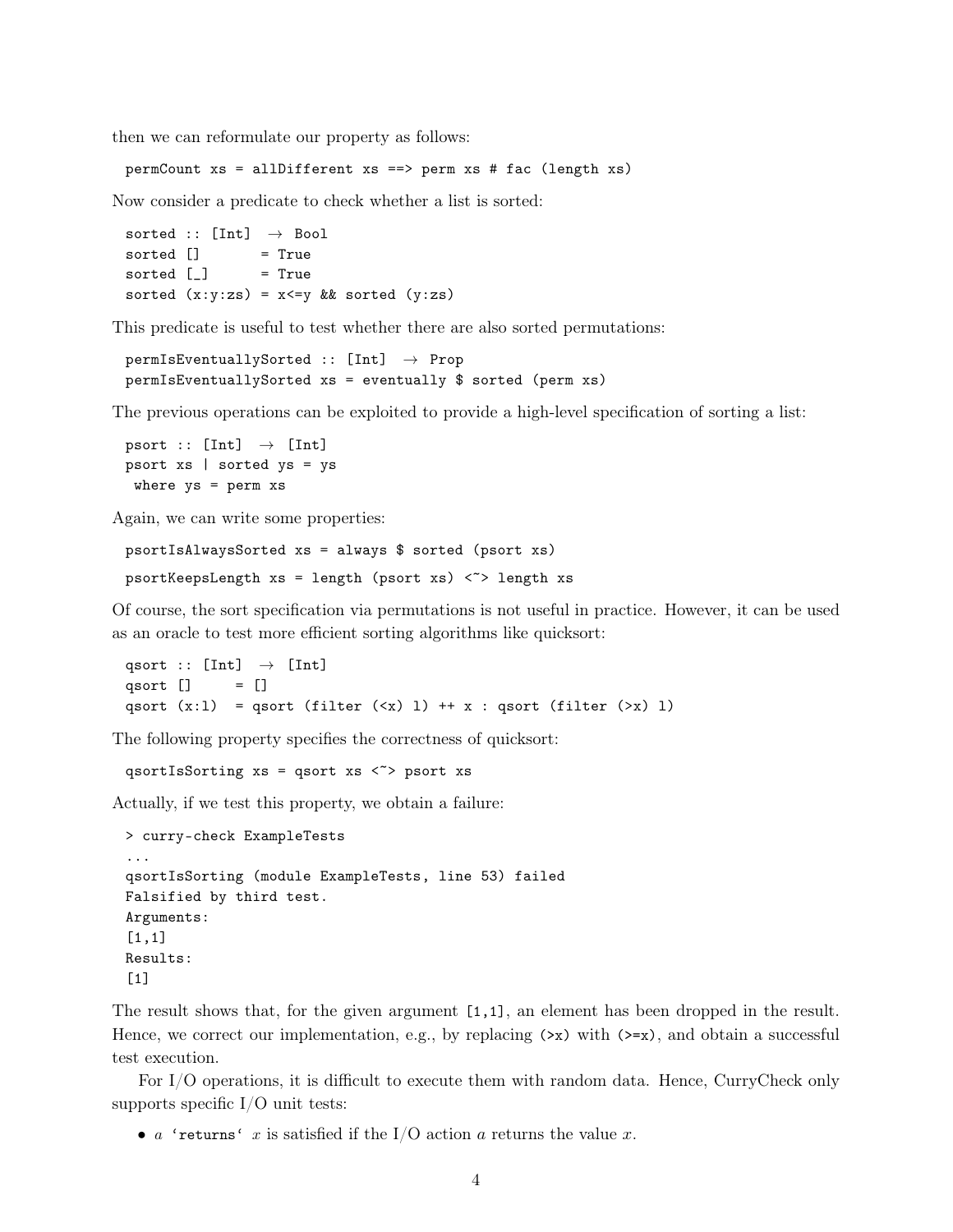then we can reformulate our property as follows:

```
permCount xs = allDifferent xs ==> perm xs # fac (length xs)
```
Now consider a predicate to check whether a list is sorted:

sorted :: [Int]  $\rightarrow$  Bool sorted  $\begin{bmatrix} 1 & 1 \end{bmatrix}$  = True sorted  $[\ ]$  = True sorted  $(x:y:zs) = x \le y \&x$  sorted  $(y:zs)$ 

This predicate is useful to test whether there are also sorted permutations:

```
permIsEventuallySorted :: [Int] \rightarrow ProppermIsEventuallySorted xs = eventually $ sorted (perm xs)
```
The previous operations can be exploited to provide a high-level specification of sorting a list:

```
psort :: [Int] \rightarrow [Int]
psort xs | sorted ys = ys
 where ys = perm xs
```
Again, we can write some properties:

psortIsAlwaysSorted xs = always \$ sorted (psort xs) psortKeepsLength  $xs = length (psort xs)$  <>>length xs

Of course, the sort specification via permutations is not useful in practice. However, it can be used as an oracle to test more efficient sorting algorithms like quicksort:

qsort :: [Int]  $\rightarrow$  [Int] qsort  $[]$  =  $[]$ qsort  $(x:1) = qsort (filter ($ 

The following property specifies the correctness of quicksort:

qsortIsSorting  $xs = qsort xs <$ > psort xs

Actually, if we test this property, we obtain a failure:

```
> curry-check ExampleTests
...
qsortIsSorting (module ExampleTests, line 53) failed
Falsified by third test.
Arguments:
[1,1]Results:
[1]
```
The result shows that, for the given argument [1,1], an element has been dropped in the result. Hence, we correct our implementation, e.g., by replacing  $(\geq x)$  with  $(\geq x)$ , and obtain a successful test execution.

For I/O operations, it is difficult to execute them with random data. Hence, CurryCheck only supports specific  $I/O$  unit tests:

• a 'returns' x is satisfied if the I/O action a returns the value x.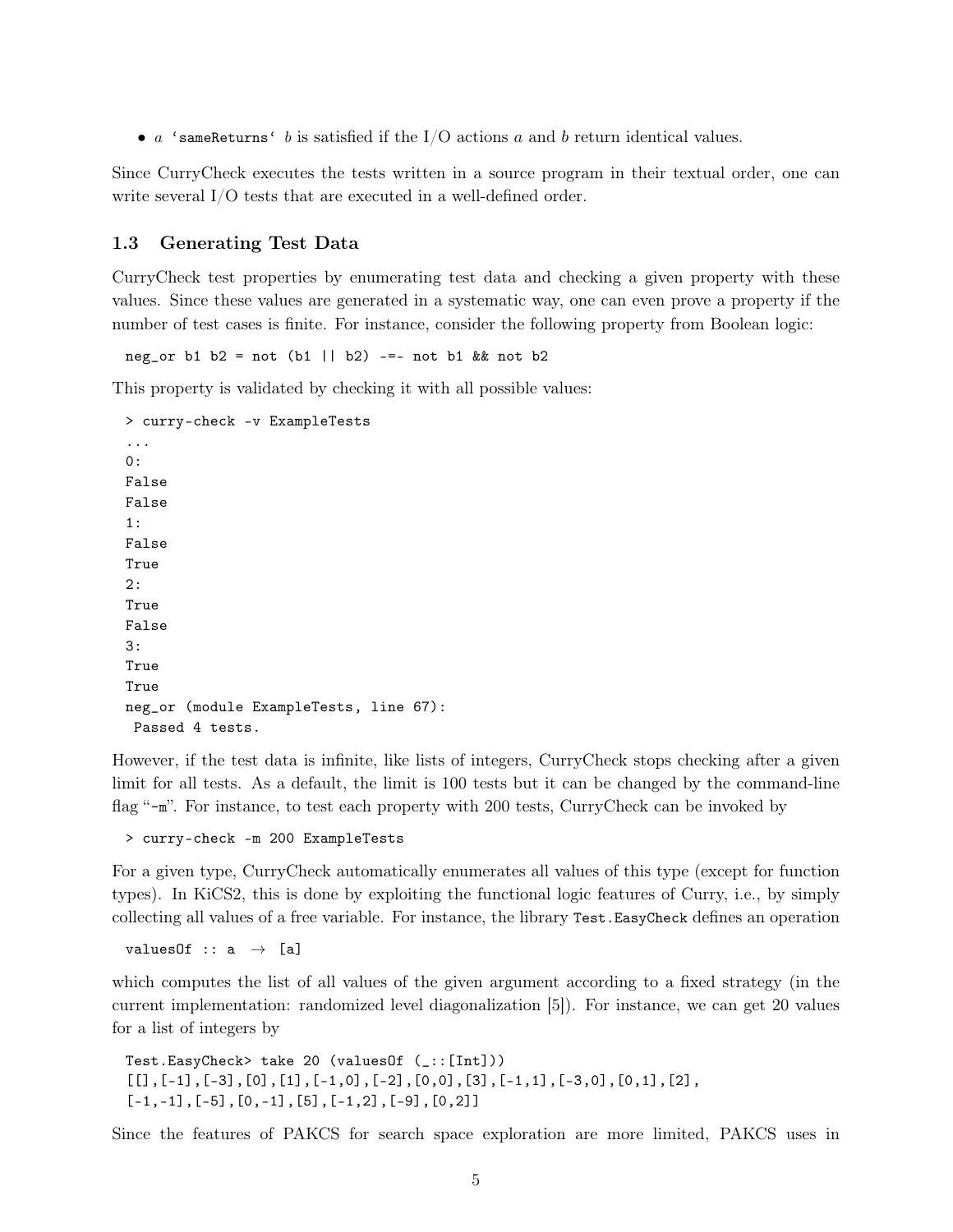•  $a$  'sameReturns' b is satisfied if the I/O actions a and b return identical values.

Since CurryCheck executes the tests written in a source program in their textual order, one can write several I/O tests that are executed in a well-defined order.

#### 1.3 Generating Test Data

CurryCheck test properties by enumerating test data and checking a given property with these values. Since these values are generated in a systematic way, one can even prove a property if the number of test cases is finite. For instance, consider the following property from Boolean logic:

neg\_or b1 b2 = not (b1 || b2) -=- not b1 && not b2

This property is validated by checking it with all possible values:

```
> curry-check -v ExampleTests
...
0:
False
False
1:
False
True
2:
True
False
3:
True
True
neg_or (module ExampleTests, line 67):
 Passed 4 tests.
```
However, if the test data is infinite, like lists of integers, CurryCheck stops checking after a given limit for all tests. As a default, the limit is 100 tests but it can be changed by the command-line flag "-m". For instance, to test each property with 200 tests, CurryCheck can be invoked by

> curry-check -m 200 ExampleTests

For a given type, CurryCheck automatically enumerates all values of this type (except for function types). In KiCS2, this is done by exploiting the functional logic features of Curry, i.e., by simply collecting all values of a free variable. For instance, the library Test.EasyCheck defines an operation

valuesOf ::  $a \rightarrow [a]$ 

which computes the list of all values of the given argument according to a fixed strategy (in the current implementation: randomized level diagonalization [5]). For instance, we can get 20 values for a list of integers by

```
Test.EasyCheck> take 20 (valuesOf (_::[Int]))
\lbrack[[],[-1],[-3],[0],[1],[-1,0],[-2],[0,0],[3],[-1,1],[-3,0],[0,1],[2],
[-1,-1], [-5], [0,-1], [5], [-1,2], [-9], [0,2]]
```
Since the features of PAKCS for search space exploration are more limited, PAKCS uses in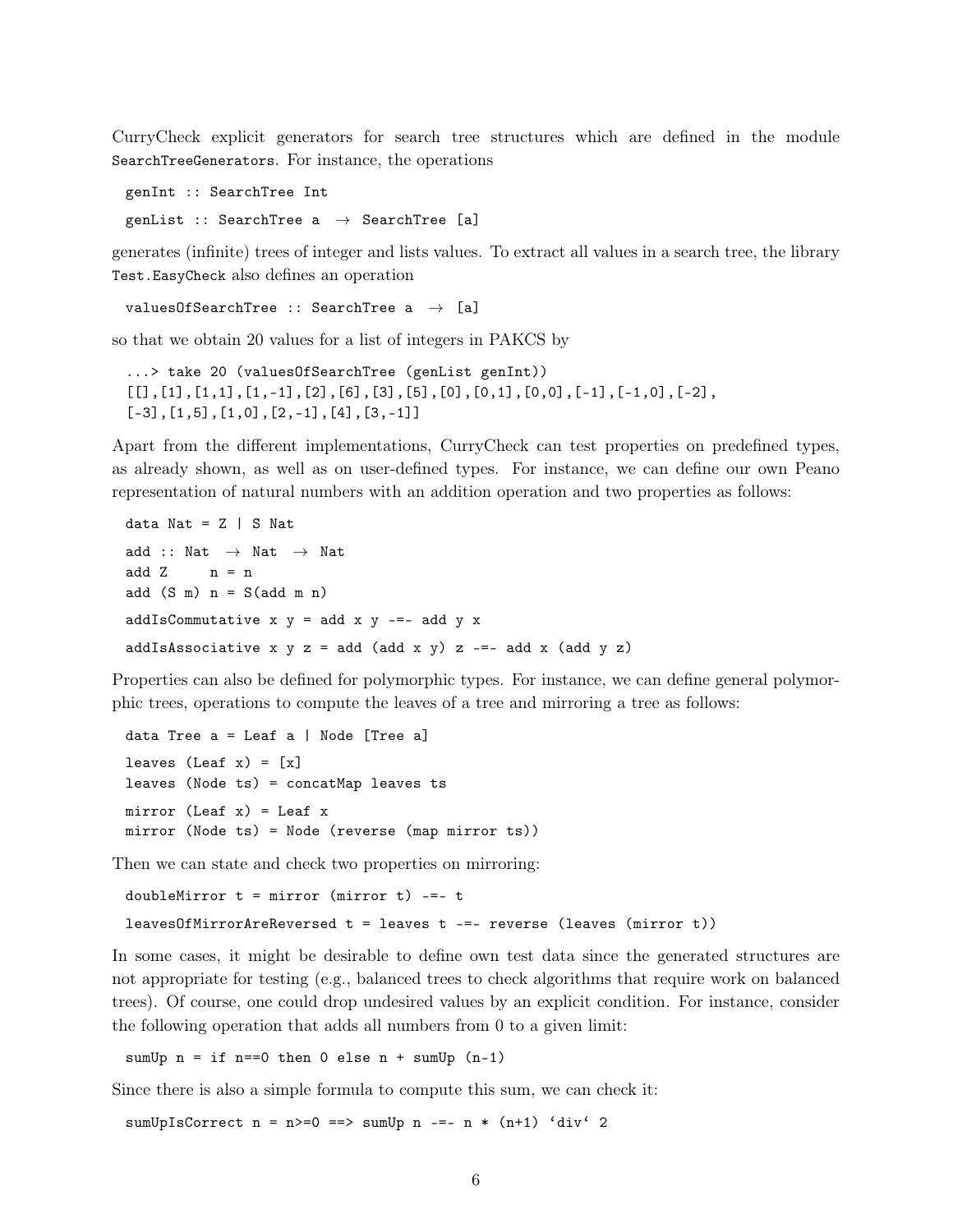CurryCheck explicit generators for search tree structures which are defined in the module SearchTreeGenerators. For instance, the operations

```
genInt :: SearchTree Int
genList :: SearchTree a \rightarrow SearchTree [a]
```
generates (infinite) trees of integer and lists values. To extract all values in a search tree, the library Test.EasyCheck also defines an operation

```
valuesOfSearchTree :: SearchTree a \rightarrow [a]
```
so that we obtain 20 values for a list of integers in PAKCS by

```
...> take 20 (valuesOfSearchTree (genList genInt))
\lbrack\lbrack\lbrack, \lbrack1,1\rbrack, \lbrack1, -1\rbrack, \lbrack2\rbrack, \lbrack6\rbrack, \lbrack3\rbrack, \lbrack5\rbrack, \lbrack0\rbrack, \lbrack0,1\rbrack, \lbrack0,0\rbrack, \lbrack-1\rbrack, \lbrack-1,0\rbrack, \lbrack-2\rbrack,[-3], [1,5], [1,0], [2,-1], [4], [3,-1]]
```
Apart from the different implementations, CurryCheck can test properties on predefined types, as already shown, as well as on user-defined types. For instance, we can define our own Peano representation of natural numbers with an addition operation and two properties as follows:

```
data Nat = Z | S Nat
add :: Nat \rightarrow Nat \rightarrow Nat
add Z n = nadd (S \n m) n = S(\n  add \n m \n n)addIsCommutative x y = add x y = -1 add y x
addIsAssociative x y z = add (add x y) z -=- add x (add y z)
```
Properties can also be defined for polymorphic types. For instance, we can define general polymorphic trees, operations to compute the leaves of a tree and mirroring a tree as follows:

```
data Tree a = Leaf a | Node [Tree a]
leaves (Leaf x) = [x]leaves (Node ts) = concatMap leaves ts
mirror (Leaf x) = Leaf xmirror (Node ts) = Node (reverse (map mirror ts))
```
Then we can state and check two properties on mirroring:

doubleMirror  $t =$  mirror (mirror  $t$ ) -=-  $t$  $leavesOfMirrorAreReverseed t = leaves t --- reverse (leaves (mirror t))$ 

In some cases, it might be desirable to define own test data since the generated structures are not appropriate for testing (e.g., balanced trees to check algorithms that require work on balanced trees). Of course, one could drop undesired values by an explicit condition. For instance, consider the following operation that adds all numbers from 0 to a given limit:

sumUp  $n = if n == 0 then 0 else n + sumUp (n-1)$ 

Since there is also a simple formula to compute this sum, we can check it:

sumUpIsCorrect  $n = n$ =0 ==> sumUp  $n$  -=-  $n * (n+1)$  'div' 2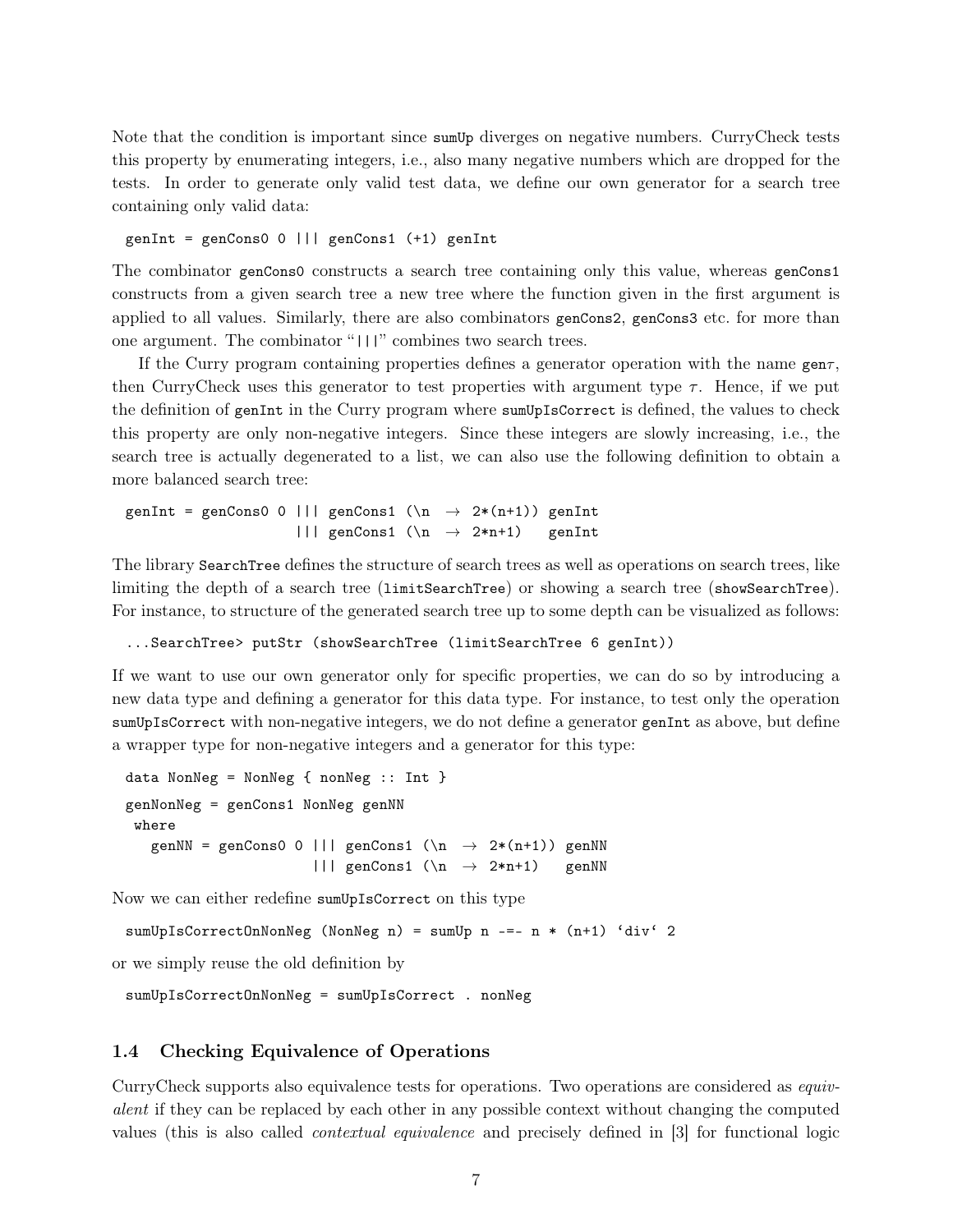Note that the condition is important since sum Up diverges on negative numbers. CurryCheck tests this property by enumerating integers, i.e., also many negative numbers which are dropped for the tests. In order to generate only valid test data, we define our own generator for a search tree containing only valid data:

genInt = genCons0 0 ||| genCons1 (+1) genInt

The combinator genCons0 constructs a search tree containing only this value, whereas genCons1 constructs from a given search tree a new tree where the function given in the first argument is applied to all values. Similarly, there are also combinators genCons2, genCons3 etc. for more than one argument. The combinator "|||" combines two search trees.

If the Curry program containing properties defines a generator operation with the name gen $\tau$ , then CurryCheck uses this generator to test properties with argument type  $\tau$ . Hence, if we put the definition of genInt in the Curry program where sumUpIsCorrect is defined, the values to check this property are only non-negative integers. Since these integers are slowly increasing, i.e., the search tree is actually degenerated to a list, we can also use the following definition to obtain a more balanced search tree:

```
genInt = genCons0 0 ||| genCons1 (\n\lambda \rightarrow 2*(n+1)) genInt
                      ||| genCons1 (\n → 2*n+1) genInt
```
The library SearchTree defines the structure of search trees as well as operations on search trees, like limiting the depth of a search tree (limitSearchTree) or showing a search tree (showSearchTree). For instance, to structure of the generated search tree up to some depth can be visualized as follows:

...SearchTree> putStr (showSearchTree (limitSearchTree 6 genInt))

If we want to use our own generator only for specific properties, we can do so by introducing a new data type and defining a generator for this data type. For instance, to test only the operation sumUpIsCorrect with non-negative integers, we do not define a generator genInt as above, but define a wrapper type for non-negative integers and a generator for this type:

```
data NonNeg = NonNeg { nonNeg :: Int }
genNonNeg = genCons1 NonNeg genNN
 where
   genNN = genCons0 0 ||| genCons1 (\n\lambda \rightarrow 2*(n+1)) genNN
                          \left| \right| genCons1 (\n \rightarrow 2*n+1) genNN
```
Now we can either redefine sumUpIsCorrect on this type

sumUpIsCorrectOnNonNeg (NonNeg n) = sumUp n -=- n \* (n+1) 'div' 2

or we simply reuse the old definition by

sumUpIsCorrectOnNonNeg = sumUpIsCorrect . nonNeg

#### 1.4 Checking Equivalence of Operations

CurryCheck supports also equivalence tests for operations. Two operations are considered as equivalent if they can be replaced by each other in any possible context without changing the computed values (this is also called contextual equivalence and precisely defined in [3] for functional logic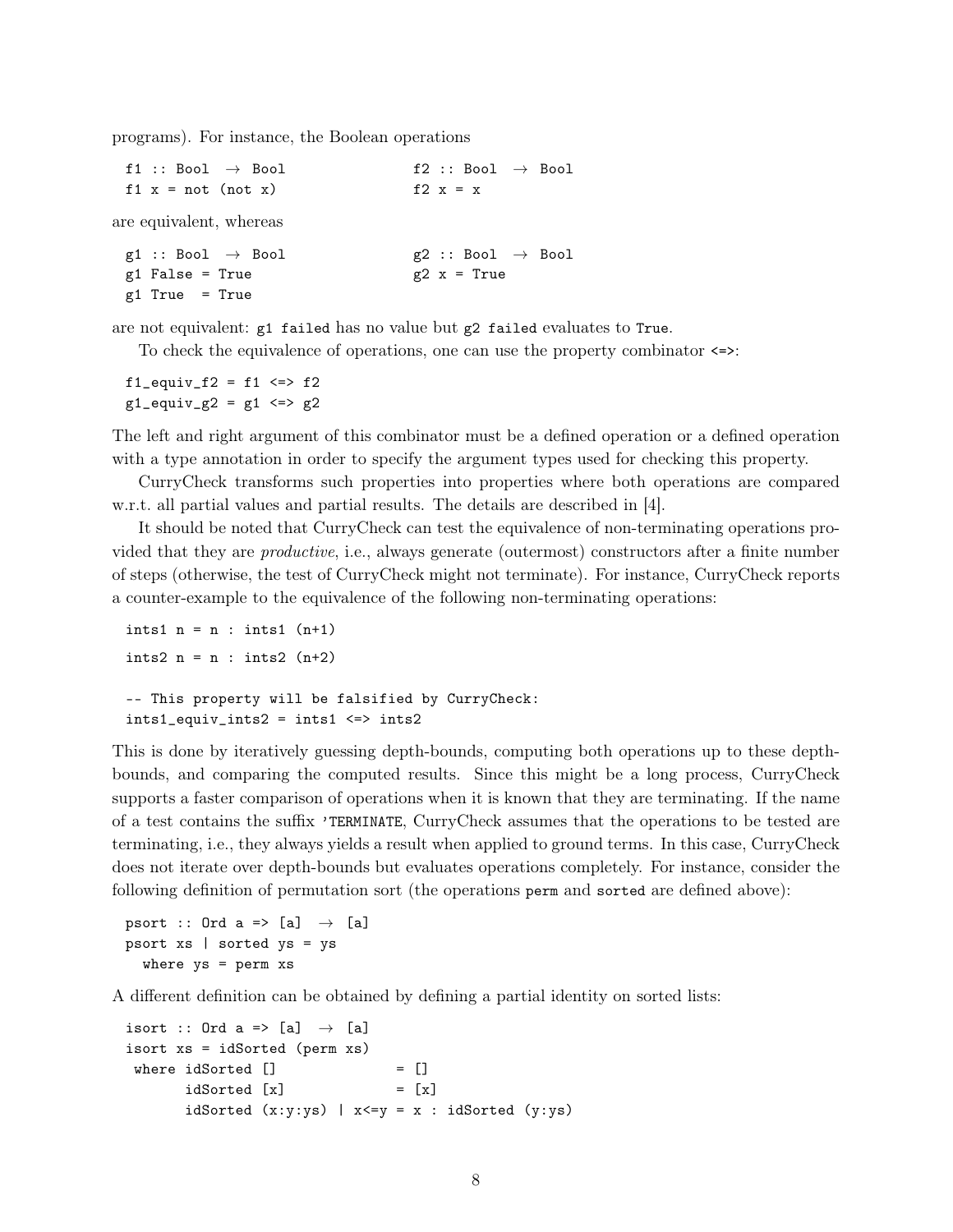programs). For instance, the Boolean operations

| f1 :: Bool $\rightarrow$ Bool | f2 :: Bool $\rightarrow$ Bool |
|-------------------------------|-------------------------------|
| $f1 x = not (not x)$          | f2 $x = x$                    |
| are equivalent, whereas       |                               |
| g1 :: Bool $\rightarrow$ Bool | $g2 :: Bool \rightarrow Bool$ |
| $g1$ False = True             | $g2 x = True$                 |
| $g1$ True = True              |                               |

are not equivalent: g1 failed has no value but g2 failed evaluates to True.

To check the equivalence of operations, one can use the property combinator <=>:

 $f1$ <sub>equiv\_ $f2 = f1 \iff f2$ </sub>  $g1$ \_equiv\_ $g2 = g1 \le y$   $\le$  >  $g2$ 

The left and right argument of this combinator must be a defined operation or a defined operation with a type annotation in order to specify the argument types used for checking this property.

CurryCheck transforms such properties into properties where both operations are compared w.r.t. all partial values and partial results. The details are described in [4].

It should be noted that CurryCheck can test the equivalence of non-terminating operations provided that they are productive, i.e., always generate (outermost) constructors after a finite number of steps (otherwise, the test of CurryCheck might not terminate). For instance, CurryCheck reports a counter-example to the equivalence of the following non-terminating operations:

```
ints1 n = n : ints1 (n+1)ints2 n = n : ints2 (n+2)-- This property will be falsified by CurryCheck:
ints1<sub>-</sub>equiv<sub>-</sub>ints2 = ints1 <=> ints2
```
This is done by iteratively guessing depth-bounds, computing both operations up to these depthbounds, and comparing the computed results. Since this might be a long process, CurryCheck supports a faster comparison of operations when it is known that they are terminating. If the name of a test contains the suffix 'TERMINATE, CurryCheck assumes that the operations to be tested are terminating, i.e., they always yields a result when applied to ground terms. In this case, CurryCheck does not iterate over depth-bounds but evaluates operations completely. For instance, consider the following definition of permutation sort (the operations perm and sorted are defined above):

```
psort :: Ord a => [a] \rightarrow [a]
psort xs | sorted ys = ys
  where ys = perm xs
```
A different definition can be obtained by defining a partial identity on sorted lists:

```
isort :: Ord a => [a] \rightarrow [a]
isort xs = idSorted (perm xs)
where idSorted [] = []idSorted [x] = [x]idSorted (x:y:ys) | x<=y = x : idSorted (y:ys)
```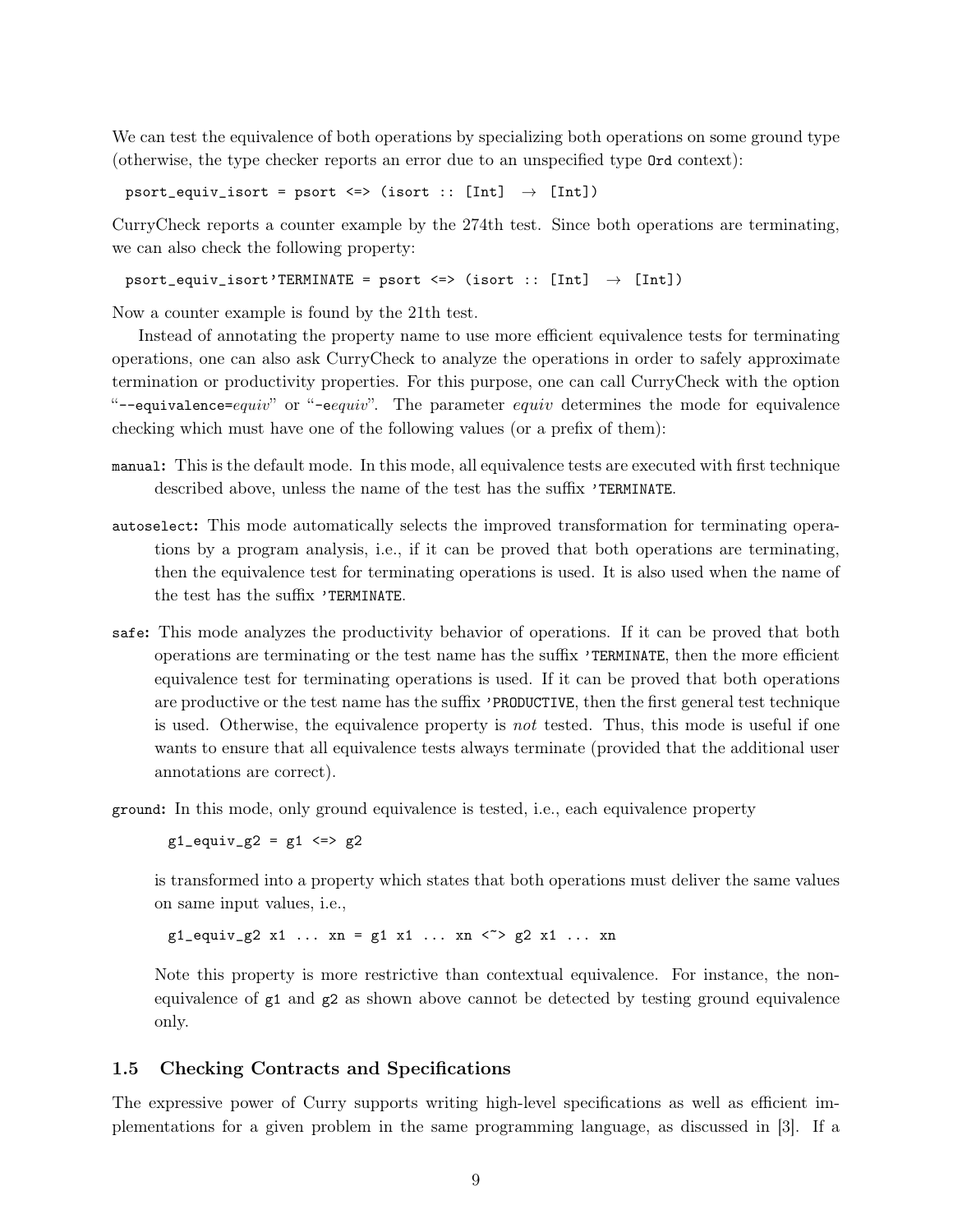We can test the equivalence of both operations by specializing both operations on some ground type (otherwise, the type checker reports an error due to an unspecified type Ord context):

psort\_equiv\_isort = psort <=> (isort :: [Int]  $\rightarrow$  [Int])

CurryCheck reports a counter example by the 274th test. Since both operations are terminating, we can also check the following property:

psort\_equiv\_isort'TERMINATE = psort <=> (isort :: [Int]  $\rightarrow$  [Int])

Now a counter example is found by the 21th test.

Instead of annotating the property name to use more efficient equivalence tests for terminating operations, one can also ask CurryCheck to analyze the operations in order to safely approximate termination or productivity properties. For this purpose, one can call CurryCheck with the option "--equivalence=equiv" or "-eequiv". The parameter equiv determines the mode for equivalence checking which must have one of the following values (or a prefix of them):

- manual: This is the default mode. In this mode, all equivalence tests are executed with first technique described above, unless the name of the test has the suffix 'TERMINATE.
- autoselect: This mode automatically selects the improved transformation for terminating operations by a program analysis, i.e., if it can be proved that both operations are terminating, then the equivalence test for terminating operations is used. It is also used when the name of the test has the suffix 'TERMINATE.
- safe: This mode analyzes the productivity behavior of operations. If it can be proved that both operations are terminating or the test name has the suffix 'TERMINATE, then the more efficient equivalence test for terminating operations is used. If it can be proved that both operations are productive or the test name has the suffix 'PRODUCTIVE, then the first general test technique is used. Otherwise, the equivalence property is not tested. Thus, this mode is useful if one wants to ensure that all equivalence tests always terminate (provided that the additional user annotations are correct).

ground: In this mode, only ground equivalence is tested, i.e., each equivalence property

 $g1$ \_equiv\_g2 = g1 <=> g2

is transformed into a property which states that both operations must deliver the same values on same input values, i.e.,

 $g1$ <sub>-</sub>equiv<sub>-</sub> $g2$  x1 ... xn =  $g1$  x1 ... xn < >  $g2$  x1 ... xn

Note this property is more restrictive than contextual equivalence. For instance, the nonequivalence of  $g_1$  and  $g_2$  as shown above cannot be detected by testing ground equivalence only.

## 1.5 Checking Contracts and Specifications

The expressive power of Curry supports writing high-level specifications as well as efficient implementations for a given problem in the same programming language, as discussed in [3]. If a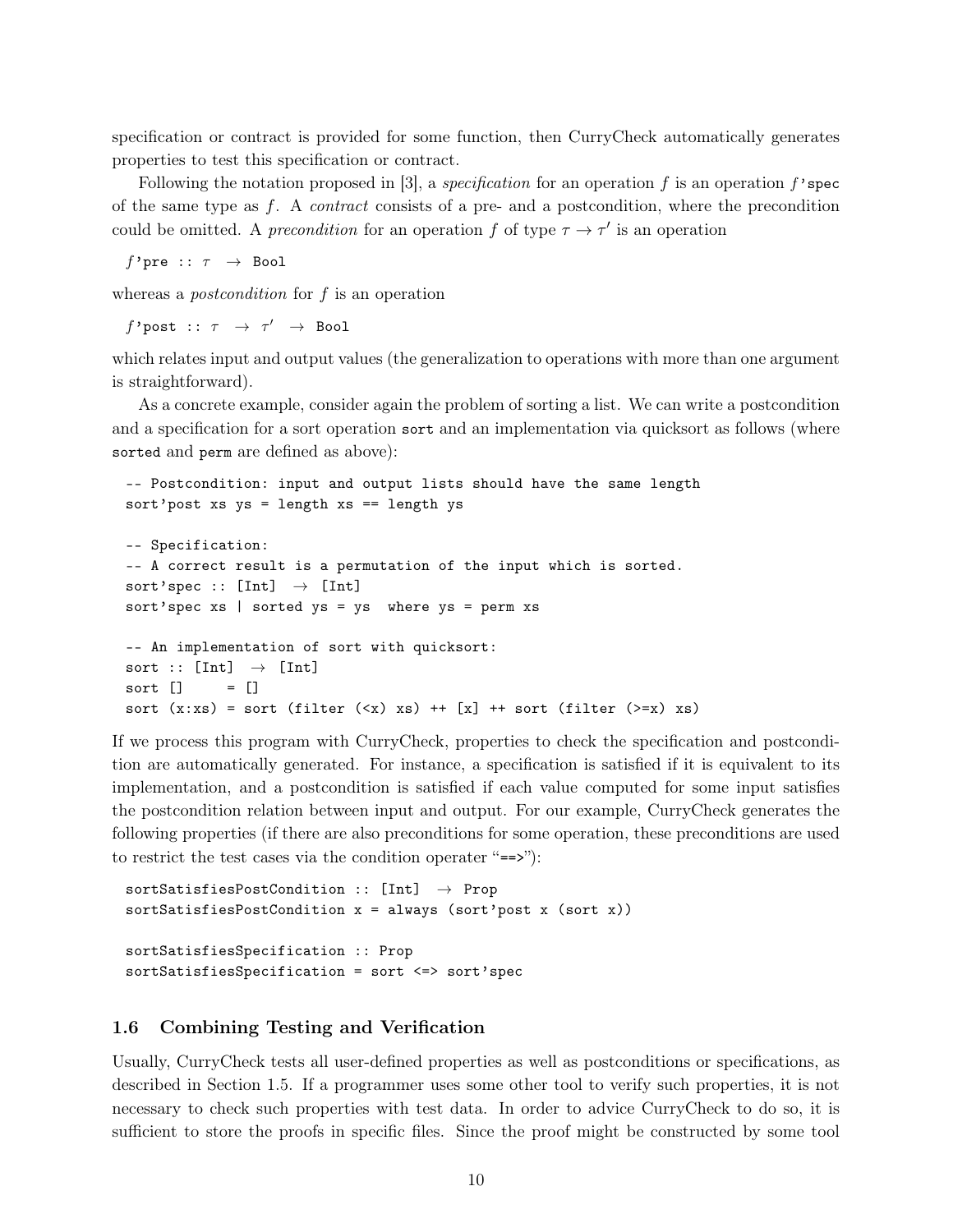specification or contract is provided for some function, then CurryCheck automatically generates properties to test this specification or contract.

Following the notation proposed in [3], a *specification* for an operation f is an operation f'spec of the same type as  $f$ . A *contract* consists of a pre- and a postcondition, where the precondition could be omitted. A *precondition* for an operation f of type  $\tau \to \tau'$  is an operation

f'pre ::  $\tau \rightarrow$  Bool

whereas a *postcondition* for f is an operation

 $f$ 'post ::  $\tau$   $\;\rightarrow$   $\; \tau'$   $\;\rightarrow$  Bool

which relates input and output values (the generalization to operations with more than one argument is straightforward).

As a concrete example, consider again the problem of sorting a list. We can write a postcondition and a specification for a sort operation sort and an implementation via quicksort as follows (where sorted and perm are defined as above):

```
-- Postcondition: input and output lists should have the same length
sort'post xs ys = length xs == length ys
-- Specification:
-- A correct result is a permutation of the input which is sorted.
sort'spec :: [Int] \rightarrow [Int]
sort'spec xs | sorted ys = ys where ys = perm xs
-- An implementation of sort with quicksort:
sort :: [Int] \rightarrow [Int]
sort [] = []sort (x:xs) = sort (filter (\langle x \rangle xs) ++ [x] ++ sort (filter (\langle x \rangle xs))
```
If we process this program with CurryCheck, properties to check the specification and postcondition are automatically generated. For instance, a specification is satisfied if it is equivalent to its implementation, and a postcondition is satisfied if each value computed for some input satisfies the postcondition relation between input and output. For our example, CurryCheck generates the following properties (if there are also preconditions for some operation, these preconditions are used to restrict the test cases via the condition operater "==>"):

```
sortSatisfiesPostCondition :: [Int] → Prop
sortSatisfiesPostCondition x = always (sort'post x (sort x))
sortSatisfiesSpecification :: Prop
sortSatisfiesSpecification = sort <=> sort'spec
```
#### 1.6 Combining Testing and Verification

Usually, CurryCheck tests all user-defined properties as well as postconditions or specifications, as described in Section 1.5. If a programmer uses some other tool to verify such properties, it is not necessary to check such properties with test data. In order to advice CurryCheck to do so, it is sufficient to store the proofs in specific files. Since the proof might be constructed by some tool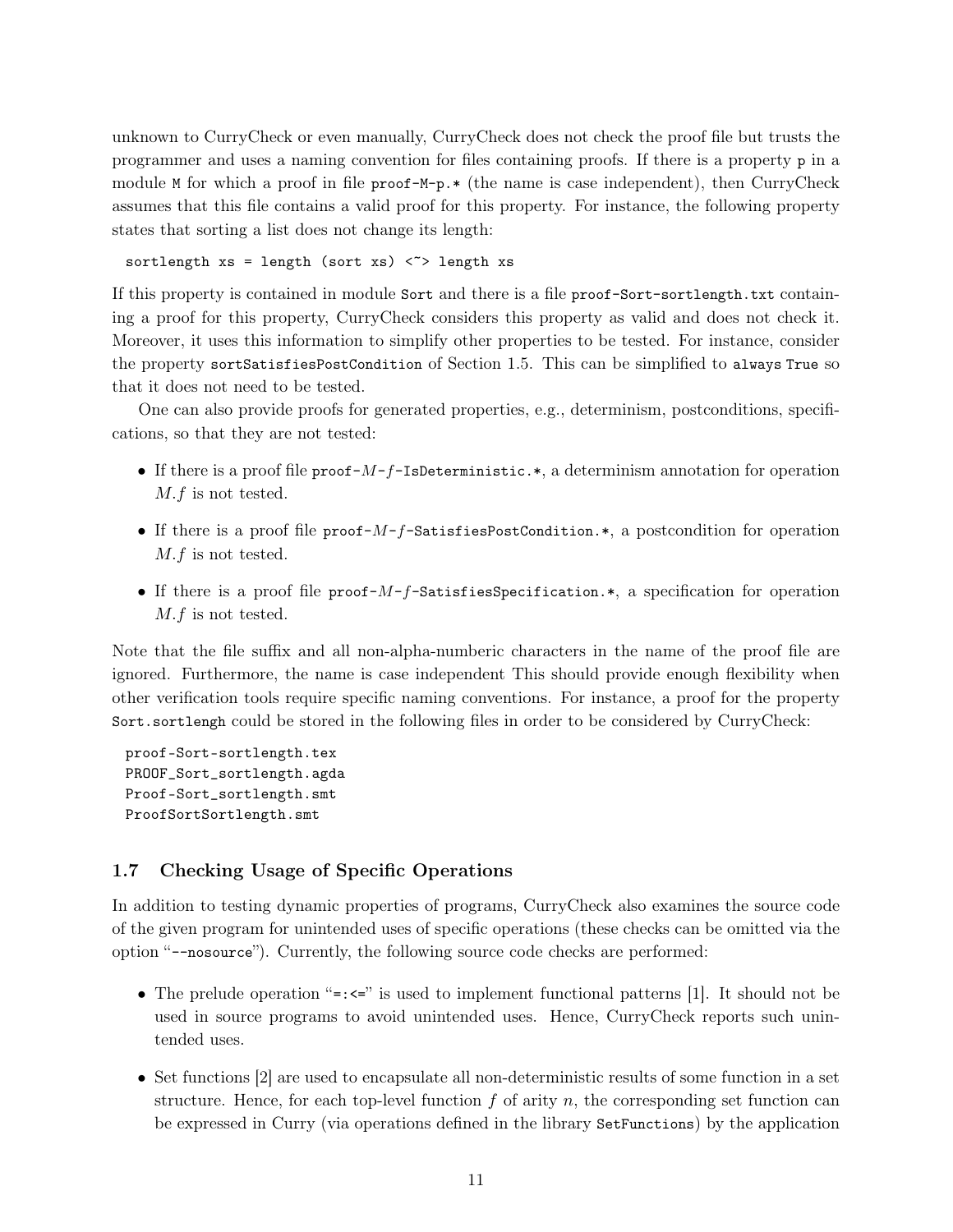unknown to CurryCheck or even manually, CurryCheck does not check the proof file but trusts the programmer and uses a naming convention for files containing proofs. If there is a property p in a module M for which a proof in file proof-M-p. $*$  (the name is case independent), then CurryCheck assumes that this file contains a valid proof for this property. For instance, the following property states that sorting a list does not change its length:

sortlength  $xs = length (sort xs)$  < > length xs

If this property is contained in module Sort and there is a file proof-Sort-sortlength.txt containing a proof for this property, CurryCheck considers this property as valid and does not check it. Moreover, it uses this information to simplify other properties to be tested. For instance, consider the property sortSatisfiesPostCondition of Section 1.5. This can be simplified to always True so that it does not need to be tested.

One can also provide proofs for generated properties, e.g., determinism, postconditions, specifications, so that they are not tested:

- If there is a proof file  $\text{proof-}M-f$ -IsDeterministic.\*, a determinism annotation for operation M.f is not tested.
- If there is a proof file  $proof-M-f-SatisfiesPostCondition.*$ , a postcondition for operation M.f is not tested.
- If there is a proof file  $proof-M-f-SatisfiesSpecification.*$ , a specification for operation M.f is not tested.

Note that the file suffix and all non-alpha-numberic characters in the name of the proof file are ignored. Furthermore, the name is case independent This should provide enough flexibility when other verification tools require specific naming conventions. For instance, a proof for the property Sort.sortlengh could be stored in the following files in order to be considered by CurryCheck:

```
proof-Sort-sortlength.tex
PROOF_Sort_sortlength.agda
Proof-Sort_sortlength.smt
ProofSortSortlength.smt
```
### 1.7 Checking Usage of Specific Operations

In addition to testing dynamic properties of programs, CurryCheck also examines the source code of the given program for unintended uses of specific operations (these checks can be omitted via the option "--nosource"). Currently, the following source code checks are performed:

- The prelude operation "= $:=$ " is used to implement functional patterns [1]. It should not be used in source programs to avoid unintended uses. Hence, CurryCheck reports such unintended uses.
- Set functions [2] are used to encapsulate all non-deterministic results of some function in a set structure. Hence, for each top-level function  $f$  of arity  $n$ , the corresponding set function can be expressed in Curry (via operations defined in the library SetFunctions) by the application